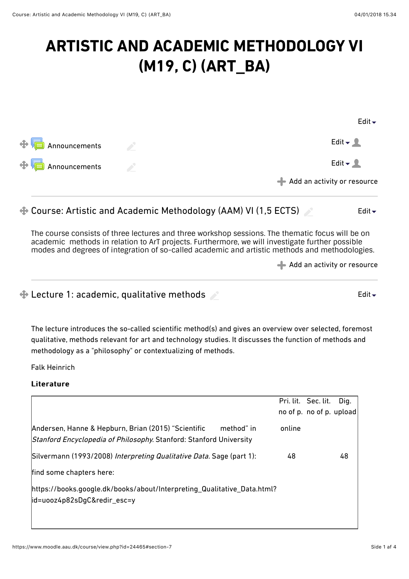[Edit](https://www.moodle.aau.dk/course/view.php?id=24465#)

[Edit](https://www.moodle.aau.dk/course/view.php?id=24465#)

# **ARTISTIC AND ACADEMIC METHODOLOGY VI (M19, C) (ART\_BA)**

|                               |      | <b>EQILY</b>                                     |
|-------------------------------|------|--------------------------------------------------|
| $\oplus$ <b>Announcements</b> | i de | Edit $\blacktriangleright$ 2                     |
| $\bigoplus$ Announcements     |      | Edit $\sim$ 2                                    |
|                               |      | $\blacktriangleleft$ Add an activity or resource |
|                               |      |                                                  |

#### [Course: Artistic and Academic Methodology \(AAM\) VI \(1,5 ECTS\)](https://www.moodle.aau.dk/course/view.php?id=24465#)  [Edit](https://www.moodle.aau.dk/course/view.php?id=24465#)

The course consists of three lectures and three workshop sessions. The thematic focus will be on academic methods in relation to ArT projects. Furthermore, we will investigate further possible modes and degrees of integration of so-called academic and artistic methods and methodologies.

```
Add an activity or resource
```
**Example 2: 4 Lecture 1: academic, qualitative methods** 

The lecture introduces the so-called scientific method(s) and gives an overview over selected, foremost qualitative, methods relevant for art and technology studies. It discusses the function of methods and methodology as a "philosophy" or contextualizing of methods.

Falk Heinrich

|                                                                                                                                         |        | Pri. lit. Sec. lit.<br>no of p. no of p. upload | Dig. |
|-----------------------------------------------------------------------------------------------------------------------------------------|--------|-------------------------------------------------|------|
| Andersen, Hanne & Hepburn, Brian (2015) "Scientific<br>method" in<br>Stanford Encyclopedia of Philosophy. Stanford: Stanford University | online |                                                 |      |
| Silvermann (1993/2008) Interpreting Qualitative Data. Sage (part 1):                                                                    | 48     |                                                 | 48   |
| find some chapters here:                                                                                                                |        |                                                 |      |
| https://books.google.dk/books/about/Interpreting_Qualitative_Data.html?<br> id=uooz4p82sDgC&redir_esc=y                                 |        |                                                 |      |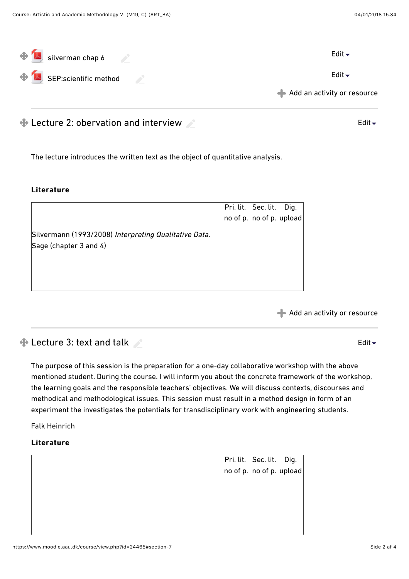| $\bigoplus$ silverman chap 6      | Edit $\overline{\phantom{a}}$                    |
|-----------------------------------|--------------------------------------------------|
| $\bigoplus$ SEP:scientific method | Edit $\blacktriangleright$                       |
|                                   | $\blacktriangleleft$ Add an activity or resource |

 $\bigoplus$  Lecture 2: obervation and interview

The lecture introduces the written text as the object of quantitative analysis.

#### **Literature**

|                                                       | Pri. lit. Sec. lit. Dig. |  |
|-------------------------------------------------------|--------------------------|--|
|                                                       | no of p. no of p. upload |  |
| Silvermann (1993/2008) Interpreting Qualitative Data. |                          |  |
| Sage (chapter 3 and 4)                                |                          |  |
|                                                       |                          |  |
|                                                       |                          |  |
|                                                       |                          |  |

[Add an activity or resource](https://www.moodle.aau.dk/course/view.php?id=24465#)

[Edit](https://www.moodle.aau.dk/course/view.php?id=24465#)  $\div$ 

## $\bigoplus$  Lecture 3: text and talk

The purpose of this session is the preparation for a one-day collaborative workshop with the above mentioned student. During the course. I will inform you about the concrete framework of the workshop, the learning goals and the responsible teachers' objectives. We will discuss contexts, discourses and methodical and methodological issues. This session must result in a method design in form of an experiment the investigates the potentials for transdisciplinary work with engineering students.

Falk Heinrich

#### Literature

Pri. lit. Sec. lit. Dig. no of p. no of p. upload [Edit](https://www.moodle.aau.dk/course/view.php?id=24465#)  $\overline{\phantom{a}}$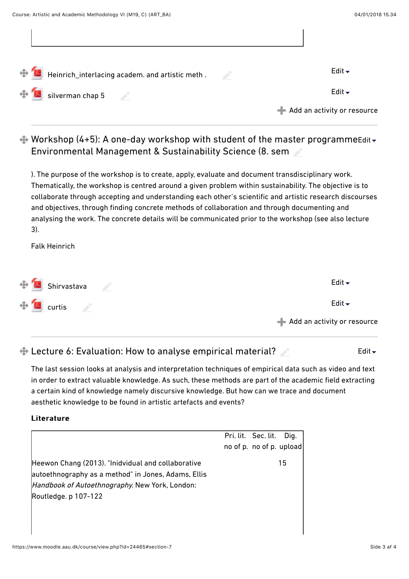| Heinrich_interlacing academ. and artistic meth .                                                                                                                                                                                                                                                                         | Edit $\blacktriangleright$                       |
|--------------------------------------------------------------------------------------------------------------------------------------------------------------------------------------------------------------------------------------------------------------------------------------------------------------------------|--------------------------------------------------|
| $\sim$ silverman chap 5                                                                                                                                                                                                                                                                                                  | Edit $\blacktriangleright$                       |
|                                                                                                                                                                                                                                                                                                                          | $\blacktriangleleft$ Add an activity or resource |
| $\clubsuit$ Workshop (4+5): A one-day workshop with student of the master programmeEdit $\triangledown$<br><b>Environmental Management &amp; Sustainability Science (8. sem 2008)</b>                                                                                                                                    |                                                  |
| ). The purpose of the workshop is to create, apply, evaluate and document transdisciplinary work.<br>Thematically, the workshop is centred around a given problem within sustainability. The objective is to<br>collaborate through accepting and understanding each other's scientific and artistic research discourses |                                                  |

and objectives, through finding concrete methods of collaboration and through documenting and analysing the work. The concrete details will be communicated prior to the workshop (see also lecture 3).

Falk Heinrich

| $\bigoplus$ Shirvastava             | Edit $\blacktriangledown$     |
|-------------------------------------|-------------------------------|
| $\oplus$ <b>M</b> <sub>curtis</sub> | Edit $\overline{\phantom{a}}$ |
|                                     | Add an activity or resource   |

# $\bigoplus$  **Lecture 6: Evaluation: How to analyse empirical material?**

The last session looks at analysis and interpretation techniques of empirical data such as video and text in order to extract valuable knowledge. As such, these methods are part of the academic field extracting a certain kind of knowledge namely discursive knowledge. But how can we trace and document aesthetic knowledge to be found in artistic artefacts and events?

### **Literature**

|                                                                                                                                                                                     | Pri. lit. Sec. lit. Dig. |    |
|-------------------------------------------------------------------------------------------------------------------------------------------------------------------------------------|--------------------------|----|
|                                                                                                                                                                                     | no of p. no of p. upload |    |
| Heewon Chang (2013). "Inidvidual and collaborative<br>autoethnography as a method" in Jones, Adams, Ellis<br>Handbook of Autoethnography. New York, London:<br>Routledge. p 107-122 |                          | 15 |

[Edit](https://www.moodle.aau.dk/course/view.php?id=24465#) $\div$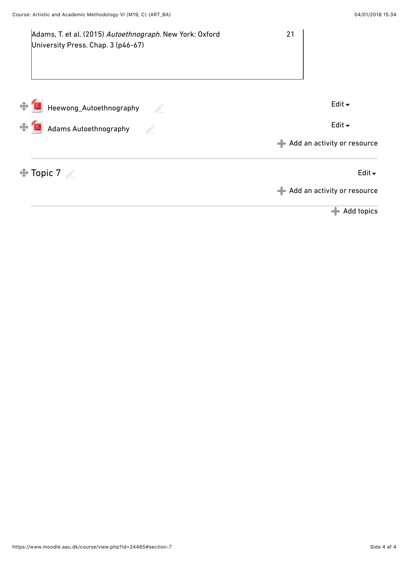| Adams, T. et al. (2015) Autoethnograph. New York: Oxford<br>University Press. Chap. 3 (p46-67) | 21                                                        |
|------------------------------------------------------------------------------------------------|-----------------------------------------------------------|
| Heewong_Autoethnography<br>$\mathcal{L}$                                                       | Edit $\blacktriangleright$                                |
| Adams Autoethnography                                                                          | Edit $\blacktriangleright$<br>Add an activity or resource |
| $\oplus$ Topic 7                                                                               | Edit $\overline{\phantom{a}}$                             |
|                                                                                                | Add an activity or resource<br>Add topics                 |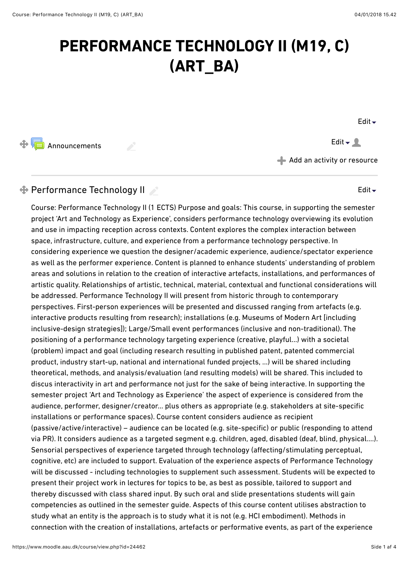# **PERFORMANCE TECHNOLOGY II (M19, C) (ART\_BA)**

[Edit](https://www.moodle.aau.dk/course/view.php?id=24462#) $\overline{\phantom{a}}$ 

[Edit](https://www.moodle.aau.dk/course/view.php?id=24462#) $\blacktriangleright$ 

 $\bigoplus$  [Announcements](https://www.moodle.aau.dk/mod/forum/view.php?id=697062)  $\qquad \qquad \bullet$  [Edit](https://www.moodle.aau.dk/course/view.php?id=24462#)  $\bullet$  2

[Add an activity or resource](https://www.moodle.aau.dk/course/view.php?id=24462#)

# $\bigoplus$  Performance Technology II

Course: Performance Technology II (1 ECTS) Purpose and goals: This course, in supporting the semester project 'Art and Technology as Experience', considers performance technology overviewing its evolution and use in impacting reception across contexts. Content explores the complex interaction between space, infrastructure, culture, and experience from a performance technology perspective. In considering experience we question the designer/academic experience, audience/spectator experience as well as the performer experience. Content is planned to enhance students' understanding of problem areas and solutions in relation to the creation of interactive artefacts, installations, and performances of artistic quality. Relationships of artistic, technical, material, contextual and functional considerations will be addressed. Performance Technology II will present from historic through to contemporary perspectives. First-person experiences will be presented and discussed ranging from artefacts (e.g. interactive products resulting from research); installations (e.g. Museums of Modern Art [including inclusive-design strategies]); Large/Small event performances (inclusive and non-traditional). The positioning of a performance technology targeting experience (creative, playful…) with a societal (problem) impact and goal (including research resulting in published patent, patented commercial product, industry start-up, national and international funded projects, …) will be shared including theoretical, methods, and analysis/evaluation (and resulting models) will be shared. This included to discus interactivity in art and performance not just for the sake of being interactive. In supporting the semester project 'Art and Technology as Experience' the aspect of experience is considered from the audience, performer, designer/creator… plus others as appropriate (e.g. stakeholders at site-specific installations or performance spaces). Course content considers audience as recipient (passive/active/interactive) – audience can be located (e.g. site-specific) or public (responding to attend via PR). It considers audience as a targeted segment e.g. children, aged, disabled (deaf, blind, physical….). Sensorial perspectives of experience targeted through technology (afecting/stimulating perceptual, cognitive, etc) are included to support. Evaluation of the experience aspects of Performance Technology will be discussed - including technologies to supplement such assessment. Students will be expected to present their project work in lectures for topics to be, as best as possible, tailored to support and thereby discussed with class shared input. By such oral and slide presentations students will gain competencies as outlined in the semester guide. Aspects of this course content utilises abstraction to study what an entity is the approach is to study what it is not (e.g. HCI embodiment). Methods in connection with the creation of installations, artefacts or performative events, as part of the experience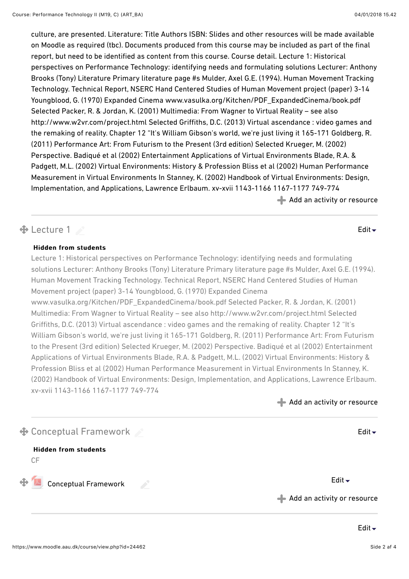culture, are presented. Literature: Title Authors ISBN: Slides and other resources will be made available on Moodle as required (tbc). Documents produced from this course may be included as part of the final report, but need to be identified as content from this course. Course detail. Lecture 1: Historical perspectives on Performance Technology: identifying needs and formulating solutions Lecturer: Anthony Brooks (Tony) Literature Primary literature page #s Mulder, Axel G.E. (1994). Human Movement Tracking Technology. Technical Report, NSERC Hand Centered Studies of Human Movement project (paper) 3-14 Youngblood, G. (1970) Expanded Cinema www.vasulka.org/Kitchen/PDF\_ExpandedCinema/book.pdf Selected Packer, R. & Jordan, K. (2001) Multimedia: From Wagner to Virtual Reality – see also http://www.w2vr.com/project.html Selected Grifths, D.C. (2013) Virtual ascendance : video games and the remaking of reality. Chapter 12 "It's William Gibson's world, we're just living it 165-171 Goldberg, R. (2011) Performance Art: From Futurism to the Present (3rd edition) Selected Krueger, M. (2002) Perspective. Badiqué et al (2002) Entertainment Applications of Virtual Environments Blade, R.A. & Padgett, M.L. (2002) Virtual Environments: History & Profession Bliss et al (2002) Human Performance Measurement in Virtual Environments In Stanney, K. (2002) Handbook of Virtual Environments: Design, Implementation, and Applications, Lawrence Erlbaum. xv-xvii 1143-1166 1167-1177 749-774  $\blacktriangleleft$  [Add an activity or resource](https://www.moodle.aau.dk/course/view.php?id=24462#)

## $\bigoplus$  Lecture 1 [Edit](https://www.moodle.aau.dk/course/view.php?id=24462#) $\bigstar$

#### **Hidden from students**

Lecture 1: Historical perspectives on Performance Technology: identifying needs and formulating solutions Lecturer: Anthony Brooks (Tony) Literature Primary literature page #s Mulder, Axel G.E. (1994). Human Movement Tracking Technology. Technical Report, NSERC Hand Centered Studies of Human Movement project (paper) 3-14 Youngblood, G. (1970) Expanded Cinema www.vasulka.org/Kitchen/PDF\_ExpandedCinema/book.pdf Selected Packer, R. & Jordan, K. (2001) Multimedia: From Wagner to Virtual Reality – see also http://www.w2vr.com/project.html Selected Grifths, D.C. (2013) Virtual ascendance : video games and the remaking of reality. Chapter 12 "It's William Gibson's world, we're just living it 165-171 Goldberg, R. (2011) Performance Art: From Futurism to the Present (3rd edition) Selected Krueger, M. (2002) Perspective. Badiqué et al (2002) Entertainment Applications of Virtual Environments Blade, R.A. & Padgett, M.L. (2002) Virtual Environments: History & Profession Bliss et al (2002) Human Performance Measurement in Virtual Environments In Stanney, K. (2002) Handbook of Virtual Environments: Design, Implementation, and Applications, Lawrence Erlbaum. xv-xvii 1143-1166 1167-1177 749-774

[Add an activity or resource](https://www.moodle.aau.dk/course/view.php?id=24462#)

| $\bf \bm{\Phi}$ Conceptual Framework               | Edit $\overline{\phantom{a}}$                    |
|----------------------------------------------------|--------------------------------------------------|
| <b>Hidden from students</b><br>СF                  |                                                  |
| $\bigoplus$ Conceptual Framework<br><b>Service</b> | Edit $\blacktriangleright$                       |
|                                                    | $\blacktriangleleft$ Add an activity or resource |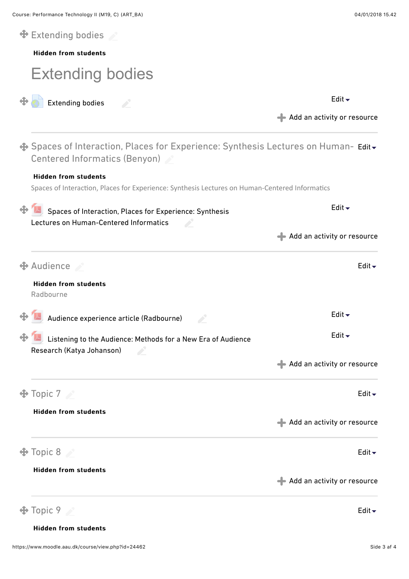| $\bigoplus$ Extending bodies             |                                                                                                                                                                    |                                                  |
|------------------------------------------|--------------------------------------------------------------------------------------------------------------------------------------------------------------------|--------------------------------------------------|
| <b>Hidden from students</b>              |                                                                                                                                                                    |                                                  |
|                                          | <b>Extending bodies</b>                                                                                                                                            |                                                  |
|                                          | <b>Extending bodies</b>                                                                                                                                            | Edit $\overline{\phantom{a}}$                    |
|                                          |                                                                                                                                                                    | $\blacktriangleleft$ Add an activity or resource |
|                                          | <b><math>\bigoplus</math></b> Spaces of Interaction, Places for Experience: Synthesis Lectures on Human- Edit <del>.</del><br><b>Centered Informatics (Benyon)</b> |                                                  |
| <b>Hidden from students</b>              |                                                                                                                                                                    |                                                  |
|                                          | Spaces of Interaction, Places for Experience: Synthesis Lectures on Human-Centered Informatics                                                                     |                                                  |
|                                          | Spaces of Interaction, Places for Experience: Synthesis<br>Lectures on Human-Centered Informatics                                                                  | Edit $\overline{\phantom{a}}$                    |
|                                          |                                                                                                                                                                    | Add an activity or resource                      |
| $\bigoplus$ Audience                     |                                                                                                                                                                    | Edit $\blacktriangleright$                       |
| <b>Hidden from students</b><br>Radbourne |                                                                                                                                                                    |                                                  |
|                                          | Audience experience article (Radbourne)                                                                                                                            | Edit $\blacktriangleright$                       |
|                                          | Listening to the Audience: Methods for a New Era of Audience<br>Research (Katya Johanson)<br><b>Contract Contract</b>                                              | Edit $\blacktriangleright$                       |
|                                          |                                                                                                                                                                    | Add an activity or resource                      |
| $\bigoplus$ Topic 7                      |                                                                                                                                                                    | Edit $\blacktriangleright$                       |
| <b>Hidden from students</b>              |                                                                                                                                                                    | Add an activity or resource                      |
| $\bigoplus$ Topic 8                      |                                                                                                                                                                    | Edit $\overline{\phantom{a}}$                    |
| <b>Hidden from students</b>              |                                                                                                                                                                    | $\blacktriangleleft$ Add an activity or resource |
| Topic 9                                  |                                                                                                                                                                    | Edit $\blacktriangleright$                       |

#### **Hidden from students**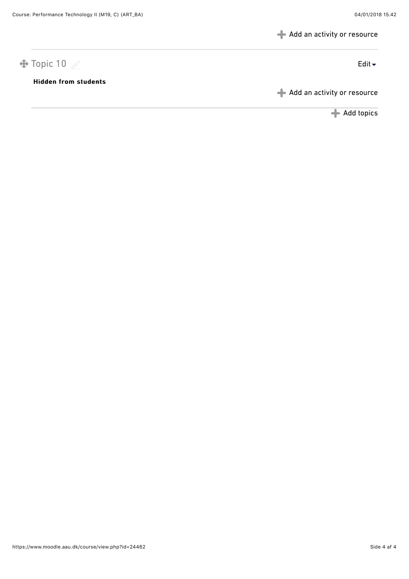[Add an activity or resource](https://www.moodle.aau.dk/course/view.php?id=24462#)

# $\bigoplus$  Topic 10  $\bigotimes$

#### Hidden from students Hidden from students

[Add an activity or resource](https://www.moodle.aau.dk/course/view.php?id=24462#)

[Add topics](https://www.moodle.aau.dk/course/changenumsections.php?courseid=24462&insertsection=0&sesskey=ljCft9ryf1§ionreturn=0)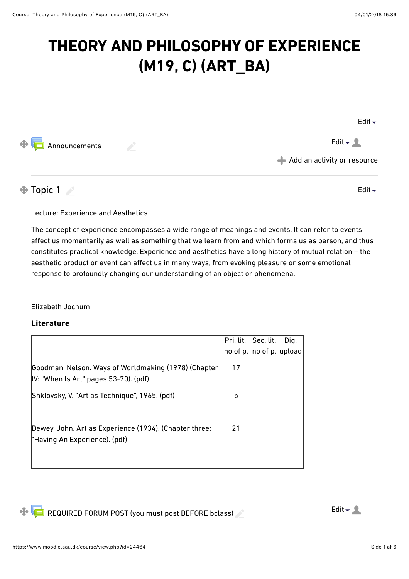# **THEORY AND PHILOSOPHY OF EXPERIENCE (M19, C) (ART\_BA)**

[Edit](https://www.moodle.aau.dk/course/view.php?id=24464#) $\overline{\phantom{a}}$ 

[Announcements](https://www.moodle.aau.dk/mod/forum/view.php?id=709530)  $\blacksquare$  $\oplus$ 

[Add an activity or resource](https://www.moodle.aau.dk/course/view.php?id=24464#)

# $\bigoplus$  Topic 1

[Edit](https://www.moodle.aau.dk/course/view.php?id=24464#) $\sim$ 

Lecture: Experience and Aesthetics

The concept of experience encompasses a wide range of meanings and events. It can refer to events afect us momentarily as well as something that we learn from and which forms us as person, and thus constitutes practical knowledge. Experience and aesthetics have a long history of mutual relation – the aesthetic product or event can affect us in many ways, from evoking pleasure or some emotional response to profoundly changing our understanding of an object or phenomena.

### Elizabeth Jochum

|                                                                                               |    | Pri. lit. Sec. lit.<br>no of p. no of p. upload | Dig. |
|-----------------------------------------------------------------------------------------------|----|-------------------------------------------------|------|
| Goodman, Nelson. Ways of Worldmaking (1978) (Chapter<br>IV: "When Is Art" pages 53-70). (pdf) | 17 |                                                 |      |
| Shklovsky, V. "Art as Technique", 1965. (pdf)                                                 | 5  |                                                 |      |
| Dewey, John. Art as Experience (1934). (Chapter three:<br>"Having An Experience). (pdf)       | 21 |                                                 |      |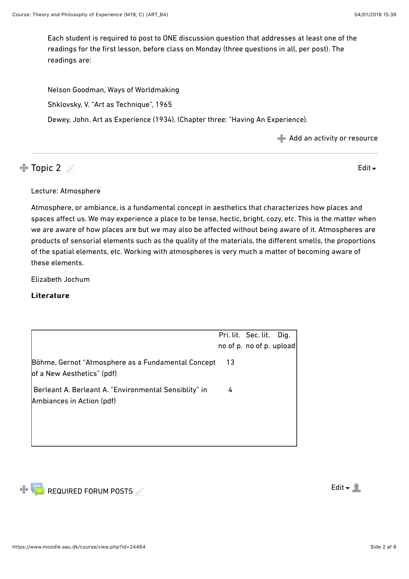Each student is required to post to ONE discussion question that addresses at least one of the readings for the first lesson, before class on Monday (three questions in all, per post). The readings are:

Nelson Goodman, Ways of Worldmaking Shklovsky, V. "[Art as Technique"](https://www.moodle.aau.dk/pluginfile.php/409475/course/section/187679/Shklovsky.ArtasTechnique.pdf), 1965 Dewey, John. [Art as Experience](https://www.moodle.aau.dk/pluginfile.php/409475/course/section/187676/Dewey.ch3.pdf) (1934). (Chapter three: "Having An Experience).

[Add an activity or resource](https://www.moodle.aau.dk/course/view.php?id=24464#)

# $\bigoplus$  Topic 2

[Edit](https://www.moodle.aau.dk/course/view.php?id=24464#) $\overline{\phantom{a}}$ 

#### Lecture: Atmosphere

Atmosphere, or ambiance, is a fundamental concept in aesthetics that characterizes how places and spaces afect us. We may experience a place to be tense, hectic, bright, cozy, etc. This is the matter when we are aware of how places are but we may also be afected without being aware of it. Atmospheres are products of sensorial elements such as the quality of the materials, the diferent smells, the proportions of the spatial elements, etc. Working with atmospheres is very much a matter of becoming aware of these elements.

Elizabeth Jochum

|                                                                                    |     | Pri. lit. Sec. lit.<br>no of p. no of p. upload | Dig. |
|------------------------------------------------------------------------------------|-----|-------------------------------------------------|------|
| Böhme, Gernot "Atmosphere as a Fundamental Concept<br>of a New Aesthetics" (pdf)   | -13 |                                                 |      |
| Berleant A. Berleant A. "Environmental Sensiblity" in<br>Ambiances in Action (pdf) | 4   |                                                 |      |
|                                                                                    |     |                                                 |      |

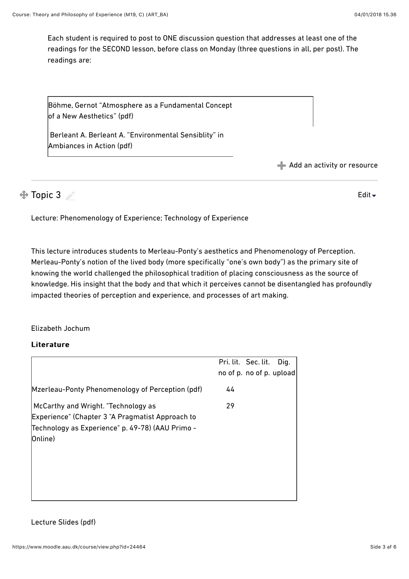[Edit](https://www.moodle.aau.dk/course/view.php?id=24464#) $\overline{\phantom{a}}$ 

Each student is required to post to ONE discussion question that addresses at least one of the readings for the SECOND lesson, before class on Monday (three questions in all, per post). The readings are:

[Böhme, Gernot "Atmosphere as a Fundamental Concept](https://www.moodle.aau.dk/pluginfile.php/409475/course/section/187677/boehme.pdf) of a New Aesthetics" [\(pdf\)](https://www.moodle.aau.dk/pluginfile.php/889328/course/section/314938/boehme.pdf)

 Berleant A. Berleant A. ["Environmental Sensiblity](https://www.moodle.aau.dk/pluginfile.php/409475/course/section/187677/enivonemntal%20sensibilty.pdf)" in Ambiances in Action ([pdf](https://www.moodle.aau.dk/pluginfile.php/889328/course/section/314938/enivonemntal%20sensibilty.pdf))

[Add an activity or resource](https://www.moodle.aau.dk/course/view.php?id=24464#)

# $\bigoplus$  Topic 3

Lecture: Phenomenology of Experience; Technology of Experience

This lecture introduces students to Merleau-Ponty's aesthetics and Phenomenology of Perception. Merleau-Ponty's notion of the lived body (more specifically "one's own body") as the primary site of knowing the world challenged the philosophical tradition of placing consciousness as the source of knowledge. His insight that the body and that which it perceives cannot be disentangled has profoundly impacted theories of perception and experience, and processes of art making.

#### Elizabeth Jochum

#### Literature

|                                                                                                                                                        | Pri. lit. Sec. lit.<br>Dig.<br>no of p. no of p. upload |
|--------------------------------------------------------------------------------------------------------------------------------------------------------|---------------------------------------------------------|
| Mzerleau-Ponty Phenomenology of Perception (pdf)                                                                                                       | 44                                                      |
| McCarthy and Wright. "Technology as<br>Experience" (Chapter 3 "A Pragmatist Approach to<br>Technology as Experience" p. 49-78) (AAU Primo -<br>Online) | 29                                                      |

Lecture Slides [\(pdf](https://www.moodle.aau.dk/pluginfile.php/1119961/course/section/359187/TOE.techasepexerience.Lesson%203%2B4.SP17.pdf))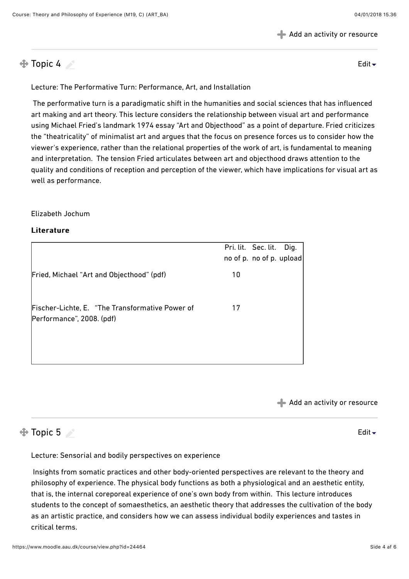[Add an activity or resource](https://www.moodle.aau.dk/course/view.php?id=24464#)

 $\bigoplus$  Topic 4

[Edit](https://www.moodle.aau.dk/course/view.php?id=24464#) $\overline{\phantom{a}}$ 

Lecture: The Performative Turn: Performance, Art, and Installation

 The performative turn is a paradigmatic shift in the humanities and social sciences that has influenced art making and art theory. This lecture considers the relationship between visual art and performance using Michael Fried's landmark 1974 essay "Art and Objecthood" as a point of departure. Fried criticizes the "theatricality" of minimalist art and argues that the focus on presence forces us to consider how the viewer's experience, rather than the relational properties of the work of art, is fundamental to meaning and interpretation. The tension Fried articulates between art and objecthood draws attention to the quality and conditions of reception and perception of the viewer, which have implications for visual art as well as performance.

Elizabeth Jochum

#### Literature

|                                                                              |    | Pri. lit. Sec. lit.<br>no of p. no of p. upload | Dig. |
|------------------------------------------------------------------------------|----|-------------------------------------------------|------|
| Fried, Michael "Art and Objecthood" (pdf)                                    | 10 |                                                 |      |
| Fischer-Lichte, E. "The Transformative Power of<br>Performance", 2008. (pdf) | 17 |                                                 |      |

[Add an activity or resource](https://www.moodle.aau.dk/course/view.php?id=24464#)

## $\bigoplus$  Topic 5

[Edit](https://www.moodle.aau.dk/course/view.php?id=24464#)

Lecture: Sensorial and bodily perspectives on experience

 Insights from somatic practices and other body-oriented perspectives are relevant to the theory and philosophy of experience. The physical body functions as both a physiological and an aesthetic entity, that is, the internal coreporeal experience of one's own body from within. This lecture introduces students to the concept of somaesthetics, an aesthetic theory that addresses the cultivation of the body as an artistic practice, and considers how we can assess individual bodily experiences and tastes in critical terms.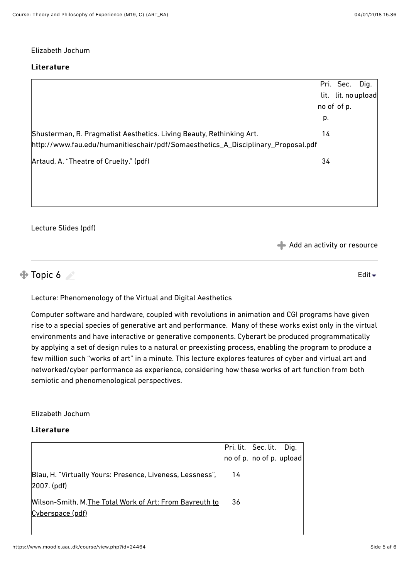#### Elizabeth Jochum

#### Literature

|                                                                                  |    | Pri. Sec.           | Dig. |
|----------------------------------------------------------------------------------|----|---------------------|------|
|                                                                                  |    | lit. lit. no upload |      |
|                                                                                  |    | no of of p.         |      |
|                                                                                  | p. |                     |      |
| Shusterman, R. Pragmatist Aesthetics. Living Beauty, Rethinking Art.             | 14 |                     |      |
| http://www.fau.edu/humanitieschair/pdf/Somaesthetics_A_Disciplinary_Proposal.pdf |    |                     |      |
| Artaud, A. "Theatre of Cruelty." (pdf)                                           | 34 |                     |      |
|                                                                                  |    |                     |      |
|                                                                                  |    |                     |      |
|                                                                                  |    |                     |      |

#### Lecture Slides [\(pdf](https://www.moodle.aau.dk/pluginfile.php/1119961/course/section/359189/somaesthetics.artaud.pdf))

[Add an activity or resource](https://www.moodle.aau.dk/course/view.php?id=24464#)

### $\bigoplus$  Topic 6

[Edit](https://www.moodle.aau.dk/course/view.php?id=24464#) $\div$ 

Lecture: Phenomenology of the Virtual and Digital Aesthetics

Computer software and hardware, coupled with revolutions in animation and CGI programs have given rise to a special species of generative art and performance. Many of these works exist only in the virtual environments and have interactive or generative components. Cyberart be produced programmatically by applying a set of design rules to a natural or preexisting process, enabling the program to produce a few million such "works of art" in a minute. This lecture explores features of cyber and virtual art and networked/cyber performance as experience, considering how these works of art function from both semiotic and phenomenological perspectives.

#### Elizabeth Jochum

|                                                                              |     | Pri. lit. Sec. lit. Dig. |  |
|------------------------------------------------------------------------------|-----|--------------------------|--|
|                                                                              |     | no of p. no of p. upload |  |
| Blau, H. "Virtually Yours: Presence, Liveness, Lessness",<br> 2007. (pdf)    | -14 |                          |  |
| Wilson-Smith, M. The Total Work of Art: From Bayreuth to<br>Cyberspace (pdf) | 36  |                          |  |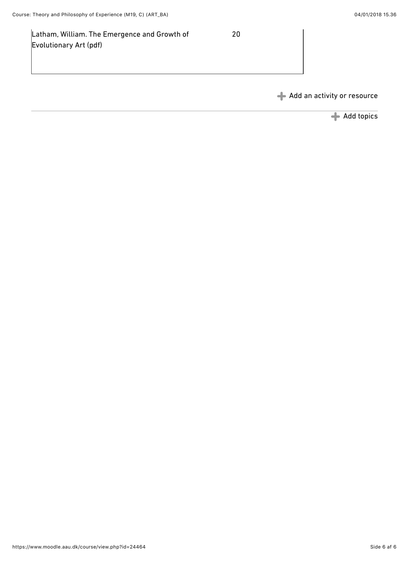Latham, William. The Emergence and Growth of Evolutionary Art ([pdf](https://www.moodle.aau.dk/pluginfile.php/1119961/course/section/359190/latham.emergence.folleymarie.lambert.pdf))

20

[Add an activity or resource](https://www.moodle.aau.dk/course/view.php?id=24464#)

[Add topics](https://www.moodle.aau.dk/course/changenumsections.php?courseid=24464&insertsection=0&sesskey=ljCft9ryf1§ionreturn=0)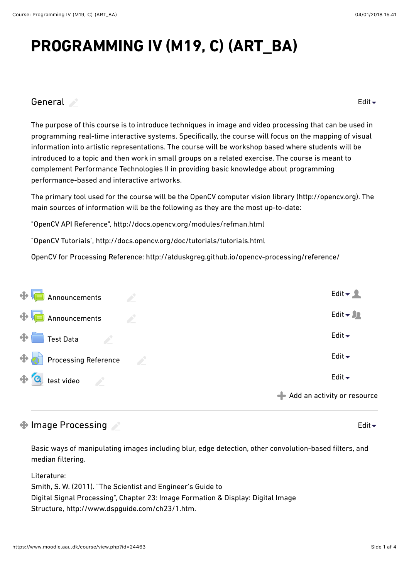# **PROGRAMMING IV (M19, C) (ART\_BA)**

## [General](https://www.moodle.aau.dk/course/view.php?id=24463#) **Source**

[Edit](https://www.moodle.aau.dk/course/view.php?id=24463#) $\sim$ 

The purpose of this course is to introduce techniques in image and video processing that can be used in programming real-time interactive systems. Specifically, the course will focus on the mapping of visual information into artistic representations. The course will be workshop based where students will be introduced to a topic and then work in small groups on a related exercise. The course is meant to complement Performance Technologies II in providing basic knowledge about programming performance-based and interactive artworks.

The primary tool used for the course will be the OpenCV computer vision library (http://opencv.org). The main sources of information will be the following as they are the most up-to-date:

"OpenCV API Reference", <http://docs.opencv.org/modules/refman.html>

"OpenCV Tutorials",<http://docs.opencv.org/doc/tutorials/tutorials.html>

OpenCV for Processing Reference:<http://atduskgreg.github.io/opencv-processing/reference/>

| $\oplus$ <b>Announcements</b>    | $\mathcal{L}^{\mathcal{L}}$ | Edit $\blacktriangleright$ 2                     |
|----------------------------------|-----------------------------|--------------------------------------------------|
| $\bigoplus$ Announcements        | <b>Contract Contract</b>    | Edit $\sim 22$                                   |
| $\bigoplus$ Test Data            |                             | Edit $\blacktriangleright$                       |
| $\bigoplus$ Processing Reference |                             | Edit $\blacktriangleright$                       |
| $\bigoplus$ test video           |                             | Edit $\overline{\phantom{a}}$                    |
|                                  |                             | $\blacktriangleleft$ Add an activity or resource |

# $\bigoplus$  Image Processing

[Edit](https://www.moodle.aau.dk/course/view.php?id=24463#) $\div$ 

Basic ways of manipulating images including blur, edge detection, other convolution-based filters, and median filtering.

Literature: Smith, S. W. (2011). "The Scientist and Engineer's Guide to Digital Signal Processing", Chapter 23: Image Formation & Display: Digital Image Structure, [http://www.dspguide.com/ch23/1.htm.](http://www.dspguide.com/ch23/1.htm)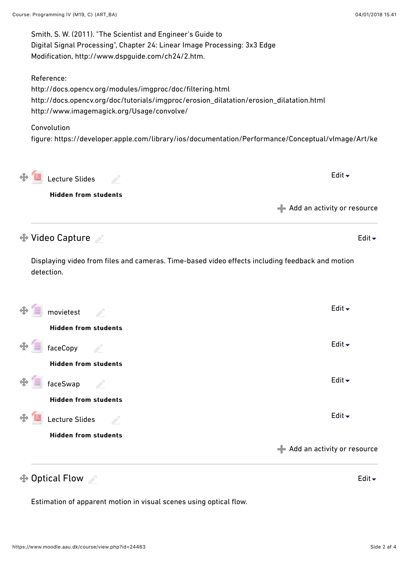| Smith, S. W. (2011). "The Scientist and Engineer's Guide to<br>Digital Signal Processing", Chapter 24: Linear Image Processing: 3x3 Edge<br>Modification, http://www.dspguide.com/ch24/2.htm.                    |                               |
|------------------------------------------------------------------------------------------------------------------------------------------------------------------------------------------------------------------|-------------------------------|
| Reference:<br>http://docs.opencv.org/modules/imgproc/doc/filtering.html<br>http://docs.opencv.org/doc/tutorials/imgproc/erosion_dilatation/erosion_dilatation.html<br>http://www.imagemagick.org/Usage/convolve/ |                               |
| Convolution<br>figure: https://developer.apple.com/library/ios/documentation/Performance/Conceptual/vlmage/Art/ke                                                                                                |                               |
| Lecture Slides                                                                                                                                                                                                   | Edit $\overline{\phantom{a}}$ |
| <b>Hidden from students</b>                                                                                                                                                                                      |                               |
|                                                                                                                                                                                                                  | Add an activity or resource   |
| <b>♦ Video Capture</b>                                                                                                                                                                                           | Edit $\overline{\phantom{a}}$ |
| Displaying video from files and cameras. Time-based video effects including feedback and motion<br>detection.                                                                                                    |                               |
| movietest                                                                                                                                                                                                        | Edit $\overline{\phantom{a}}$ |
| <b>Hidden from students</b>                                                                                                                                                                                      |                               |
| faceCopy                                                                                                                                                                                                         | Edit $\overline{\phantom{a}}$ |
| <b>Hidden from students</b>                                                                                                                                                                                      |                               |
| faceSwap<br>a de la                                                                                                                                                                                              | Edit $\blacktriangleright$    |
| <b>Hidden from students</b>                                                                                                                                                                                      |                               |
| Lecture Slides                                                                                                                                                                                                   | Edit $\blacktriangleright$    |
| <b>Hidden from students</b>                                                                                                                                                                                      |                               |
|                                                                                                                                                                                                                  | Add an activity or resource   |
| $\bigoplus$ Optical Flow                                                                                                                                                                                         | Edit $\overline{\phantom{a}}$ |

Estimation of apparent motion in visual scenes using optical flow.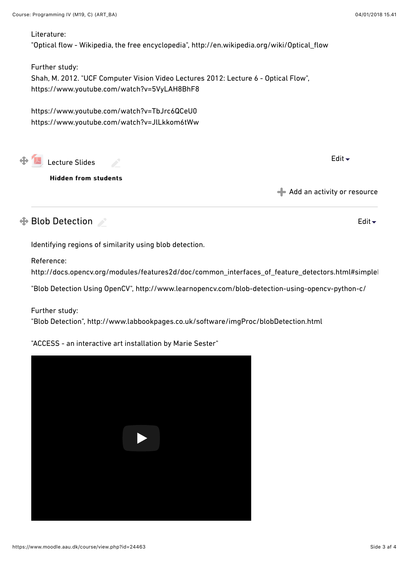#### Literature:

"Optical flow - Wikipedia, the free encyclopedia", [http://en.wikipedia.org/wiki/Optical\\_flow](http://en.wikipedia.org/wiki/Optical_flow)

Further study:

Shah, M. 2012. "UCF Computer Vision Video Lectures 2012: Lecture 6 - Optical Flow", https://www.youtube.com/watch?v=5VyLAH8BhF8

https://www.youtube.com/watch?v=TbJrc6QCeU0 https://www.youtube.com/watch?v=JlLkkom6tWw

 $\clubsuit$ **[Lecture Slides](https://www.moodle.aau.dk/mod/resource/view.php?id=703446)** 

**Hidden from students** 

[Edit](https://www.moodle.aau.dk/course/view.php?id=24463#)  $\overline{\phantom{a}}$ 

[Edit](https://www.moodle.aau.dk/course/view.php?id=24463#)

[Add an activity or resource](https://www.moodle.aau.dk/course/view.php?id=24463#)

# $\bigoplus$  Blob Detection

Identifying regions of similarity using blob detection.

Reference:

http://docs.opencv.org/modules/features2d/doc/common\_interfaces\_of\_feature\_detectors.html#simplel

"Blob Detection Using OpenCV",<http://www.learnopencv.com/blob-detection-using-opencv-python-c/>

Further study:

"Blob Detection", <http://www.labbookpages.co.uk/software/imgProc/blobDetection.html>

"ACCESS - an interactive art installation by Marie Sester"